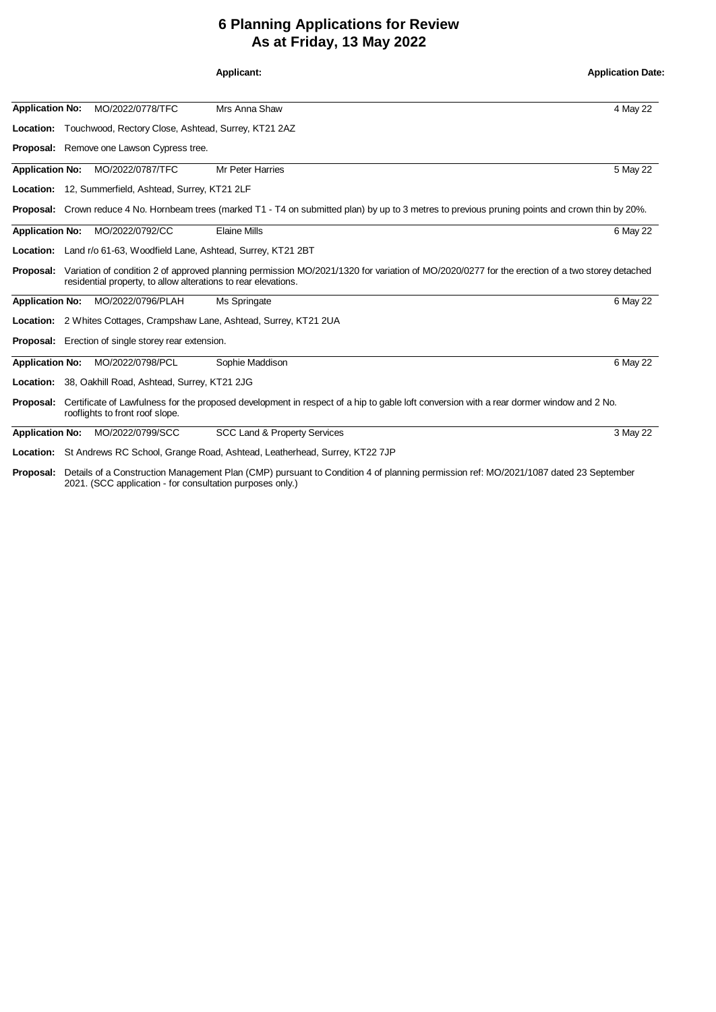## **6 Planning Applications for Review As at Friday, 13 May 2022**

|                        |                                                                                                                                                                                                                 |                                                               | Applicant:                                                                                                                                                | <b>Application Date:</b> |  |
|------------------------|-----------------------------------------------------------------------------------------------------------------------------------------------------------------------------------------------------------------|---------------------------------------------------------------|-----------------------------------------------------------------------------------------------------------------------------------------------------------|--------------------------|--|
| <b>Application No:</b> |                                                                                                                                                                                                                 | MO/2022/0778/TFC                                              | Mrs Anna Shaw                                                                                                                                             | 4 May 22                 |  |
|                        |                                                                                                                                                                                                                 | Location: Touchwood, Rectory Close, Ashtead, Surrey, KT21 2AZ |                                                                                                                                                           |                          |  |
|                        |                                                                                                                                                                                                                 | <b>Proposal:</b> Remove one Lawson Cypress tree.              |                                                                                                                                                           |                          |  |
| <b>Application No:</b> |                                                                                                                                                                                                                 | MO/2022/0787/TFC                                              | <b>Mr Peter Harries</b>                                                                                                                                   | 5 May 22                 |  |
|                        |                                                                                                                                                                                                                 | Location: 12, Summerfield, Ashtead, Surrey, KT21 2LF          |                                                                                                                                                           |                          |  |
|                        |                                                                                                                                                                                                                 |                                                               | <b>Proposal:</b> Crown reduce 4 No. Hornbeam trees (marked T1 - T4 on submitted plan) by up to 3 metres to previous pruning points and crown thin by 20%. |                          |  |
| <b>Application No:</b> |                                                                                                                                                                                                                 | MO/2022/0792/CC                                               | <b>Elaine Mills</b>                                                                                                                                       | 6 May 22                 |  |
|                        |                                                                                                                                                                                                                 |                                                               | Location: Land r/o 61-63, Woodfield Lane, Ashtead, Surrey, KT21 2BT                                                                                       |                          |  |
| Proposal:              | Variation of condition 2 of approved planning permission MO/2021/1320 for variation of MO/2020/0277 for the erection of a two storey detached<br>residential property, to allow alterations to rear elevations. |                                                               |                                                                                                                                                           |                          |  |
|                        |                                                                                                                                                                                                                 | Application No: MO/2022/0796/PLAH                             | Ms Springate                                                                                                                                              | 6 May 22                 |  |
|                        |                                                                                                                                                                                                                 |                                                               | Location: 2 Whites Cottages, Crampshaw Lane, Ashtead, Surrey, KT21 2UA                                                                                    |                          |  |
|                        |                                                                                                                                                                                                                 | <b>Proposal:</b> Erection of single storey rear extension.    |                                                                                                                                                           |                          |  |
| <b>Application No:</b> |                                                                                                                                                                                                                 | MO/2022/0798/PCL                                              | Sophie Maddison                                                                                                                                           | 6 May 22                 |  |
|                        |                                                                                                                                                                                                                 | Location: 38, Oakhill Road, Ashtead, Surrey, KT21 2JG         |                                                                                                                                                           |                          |  |
| Proposal:              |                                                                                                                                                                                                                 | rooflights to front roof slope.                               | Certificate of Lawfulness for the proposed development in respect of a hip to gable loft conversion with a rear dormer window and 2 No.                   |                          |  |
| <b>Application No:</b> |                                                                                                                                                                                                                 | MO/2022/0799/SCC                                              | <b>SCC Land &amp; Property Services</b>                                                                                                                   | 3 May 22                 |  |
|                        |                                                                                                                                                                                                                 |                                                               | Location: St Andrews RC School, Grange Road, Ashtead, Leatherhead, Surrey, KT22 7JP                                                                       |                          |  |
|                        |                                                                                                                                                                                                                 |                                                               | <b>Proposal:</b> Details of a Construction Management Plan (CMP) pursuant to Condition 4 of planning permission ref: $MO/2021/1097$ dated 23 September    |                          |  |

**Proposal:** Details of a Construction Management Plan (CMP) pursuant to Condition 4 of planning permission ref: MO/2021/1087 dated 23 September 2021. (SCC application - for consultation purposes only.)